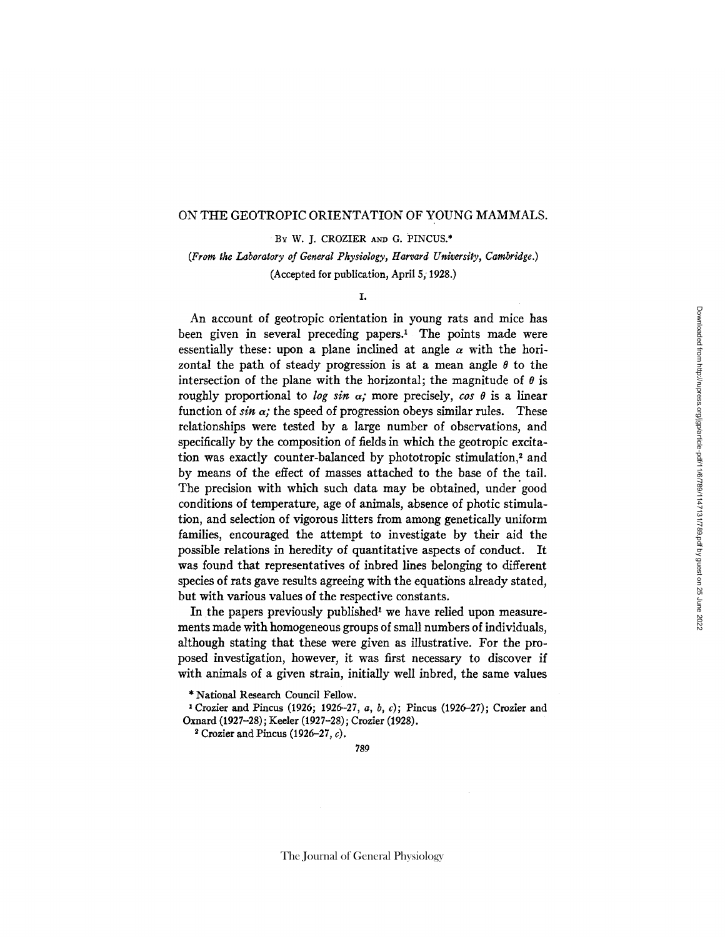### ON THE GEOTROPIC ORIENTATION OF YOUNG MAMMALS.

BY W. J. CROZIER AND G. PINCUS.\*

*(From the Laboratory of General Physiology, Harvard University, Cambridge.)*  (Accepted for publication, April 5; 1928.)

#### I.

An account of geotropic orientation in young rats and mice has been given in several preceding papers.<sup>1</sup> The points made were essentially these: upon a plane inclined at angle  $\alpha$  with the horizontal the path of steady progression is at a mean angle  $\theta$  to the intersection of the plane with the horizontal; the magnitude of  $\theta$  is roughly proportional to *log sin*  $\alpha$ ; more precisely, *cos*  $\theta$  is a linear function of  $sin \alpha$ ; the speed of progression obeys similar rules. These relationships were tested by a large number of observations, and specifically by the composition of fields in which the geotropic excitation was exactly counter-balanced by phototropic stimulation,<sup>2</sup> and by means of the effect of masses attached to the base of the tail. The precision with which such data may be obtained, under good conditions of temperature, age of animals, absence of photic stimulation, and selection of vigorous litters from among genetically uniform families, encouraged the attempt to investigate by their aid the possible relations in heredity of quantitative aspects of conduct. It was found that representatives of inbred lines belonging to different species of rats gave results agreeing with the equations already stated, but with various values of the respective constants.

In the papers previously published<sup>1</sup> we have relied upon measurements made with homogeneous groups of small numbers of individuals, although stating that these were given as illustrative. For the proposed investigation, however, it was first necessary to discover if with animals of a given strain, initially well inbred, the same values

\* National Research Council Fellow.

1 Crozier and Pincus (1926; 1926-27, *a, b,* c); Pincus (1926-27); Crozier and **Oxnard** (1927-28); Keeler (1927-28); Crozier (1928).

<sup>2</sup> Crozier and Pincus (1926–27,  $c$ ).

789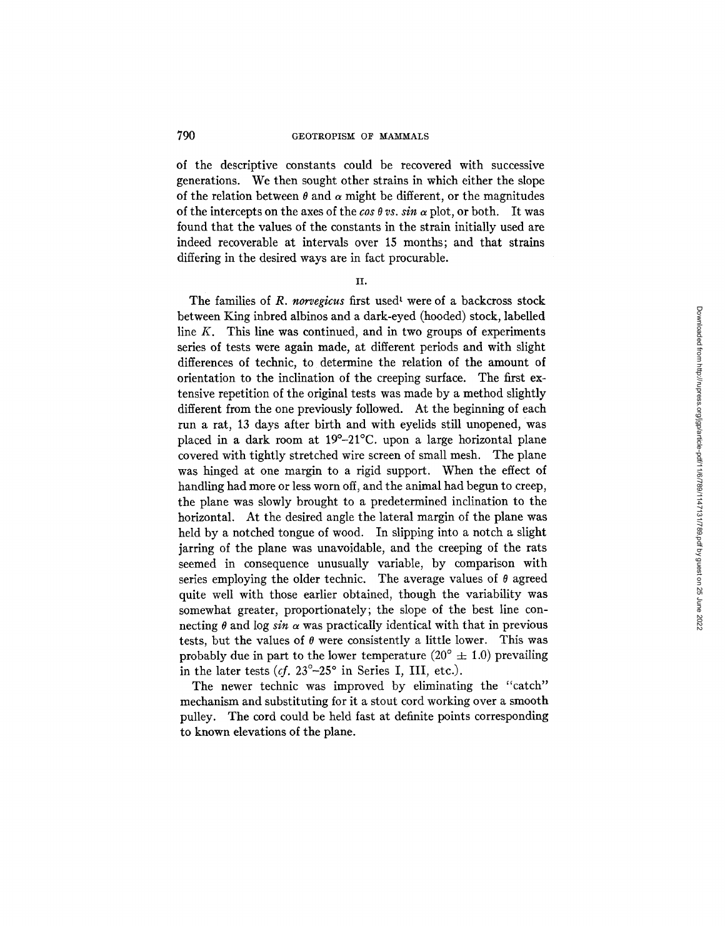of the descriptive constants could be recovered with successive generations. We then sought other strains in which either the slope of the relation between  $\theta$  and  $\alpha$  might be different, or the magnitudes of the intercepts on the axes of the *cos*  $\theta$  *vs. sin*  $\alpha$  plot, or both. It was found that the values of the constants in the strain initially used are indeed recoverable at intervals over 15 months; and that strains differing in the desired ways are in fact procurable.

II.

The families of *R. norvegicus* first used<sup>1</sup> were of a backcross stock between King inbred albinos and a dark-eyed (hooded) stock, labelled line  $K$ . This line was continued, and in two groups of experiments series of tests were again made, at different periods and with slight differences of technic, to determine the relation of the amount of orientation to the inclination of the creeping surface. The first extensive repetition of the original tests was made by a method slightly different from the one previously followed. At the beginning of each run a rat, 13 days after birth and with eyelids still unopened, was placed in a dark room at 19°-21°C. upon a large horizontal plane covered with tightly stretched wire screen of small mesh. The plane was hinged at one margin to a rigid support. When the effect of handling had more or less worn off, and the animal had begun to creep, the plane was slowly brought to a predetermined inclination to the horizontal. At the desired angle the lateral margin of the plane was held by a notched tongue of wood. In slipping into a notch a slight jarring of the plane was unavoidable, and the creeping of the rats seemed in consequence unusually variable, by comparison with series employing the older technic. The average values of  $\theta$  agreed quite well with those earlier obtained, though the variability was somewhat greater, proportionately; the slope of the best line connecting  $\theta$  and log *sin*  $\alpha$  was practically identical with that in previous tests, but the values of  $\theta$  were consistently a little lower. This was probably due in part to the lower temperature  $(20^{\circ} \pm 1.0)$  prevailing in the later tests  $(cf. 23^{\circ}-25^{\circ}$  in Series I, III, etc.).

The newer technic was improved by eliminating the "catch" mechanism and substituting for it a stout cord working over a smooth pulley. The cord could be held fast at definite points corresponding to known elevations of the plane.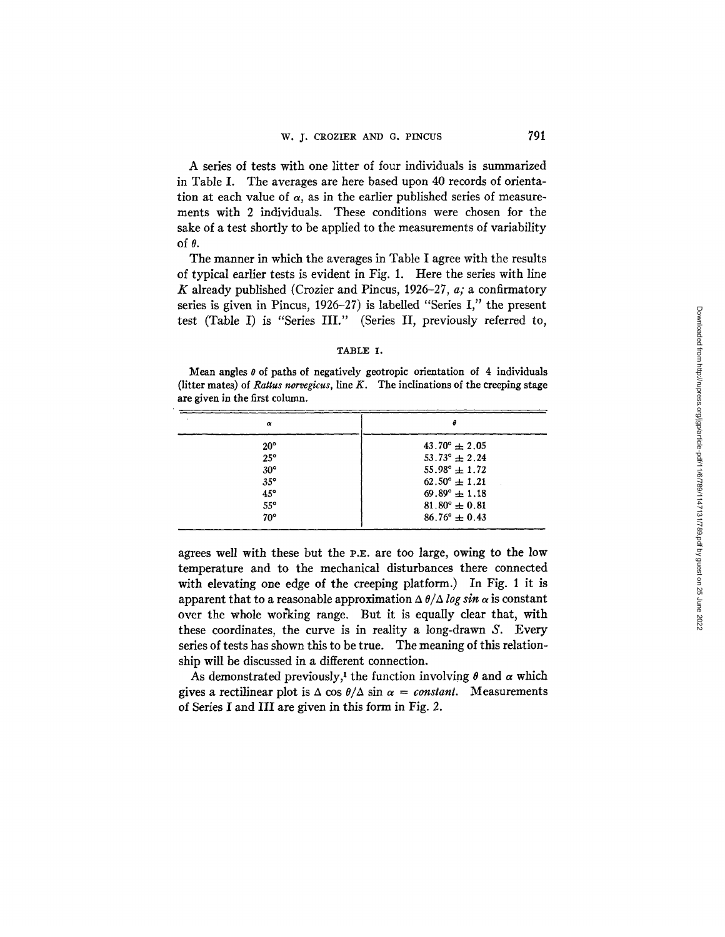A series of tests with one litter of four individuals is summarized in Table I. The averages are here based upon 40 records of orientation at each value of  $\alpha$ , as in the earlier published series of measurements with 2 individuals. These conditions were chosen for the sake of a test shortly to be applied to the measurements of variability of  $\theta$ .

The manner in which the averages in Table I agree with the results of typical earlier tests is evident in Fig. 1. Here the series with line K already published (Crozier and Pincus, 1926-27, *a;* a confirmatory series is given in Pincus, 1926-27) is labelled "Series I," the present test (Table I) is "Series *III."* (Series II, previously referred to,

## TABLE I.

Mean angles  $\theta$  of paths of negatively geotropic orientation of 4 individuals (litter mates) of *Rattus norvegicus*, line  $K$ . The inclinations of the creeping stage are given in the first column.

| $43.70^{\circ} \pm 2.05$ |
|--------------------------|
| $53.73^{\circ} \pm 2.24$ |
| $55.98^{\circ} \pm 1.72$ |
| $62.50^{\circ} \pm 1.21$ |
| $69.89^{\circ} \pm 1.18$ |
| $81.80^{\circ} \pm 0.81$ |
| $86.76^{\circ} \pm 0.43$ |
|                          |

agrees well with these but the P.E. are too large, owing to the low temperature and to the mechanical disturbances there connected with elevating one edge of the creeping platform.) In Fig. 1 it is apparent that to a reasonable approximation  $\Delta \theta / \Delta \log \sin \alpha$  is constant over the whole working range. But it is equally clear that, with these coordinates, the curve is in reality a long-drawn S. Every series of tests has shown this to be true. The meaning of this relationship will be discussed in a different connection.

As demonstrated previously,<sup>1</sup> the function involving  $\theta$  and  $\alpha$  which gives a rectilinear plot is  $\Delta \cos \theta / \Delta \sin \alpha = constant$ . Measurements of Series I and III are given in this form in Fig. 2.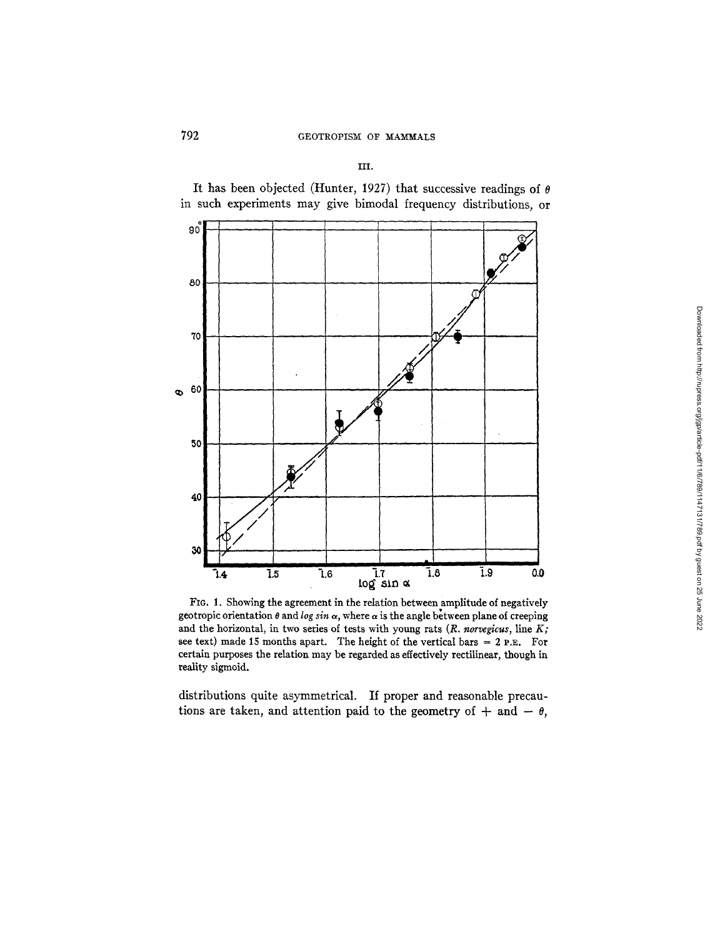# 792 GEOTROPISM OF MAMMALS

III.

It has been objected (Hunter, 1927) that successive readings of  $\theta$ in such experiments may give bimodal frequency distributions, or



FIG. 1. Showing the agreement in the relation between amplitude of negatively geotropic orientation  $\theta$  and *log sin*  $\alpha$ , where  $\alpha$  is the angle between plane of creeping and the horizontal, in two series of tests with young rats (R. norvegicus, line K; see text) made 15 months apart. The height of the vertical bars  $= 2$  P.E. For certain purposes the relation may be regarded as effectively rectilinear, though in reality sigmoid.

distributions quite asymmetrical. If proper and reasonable precautions are taken, and attention paid to the geometry of  $+$  and  $\theta$ ,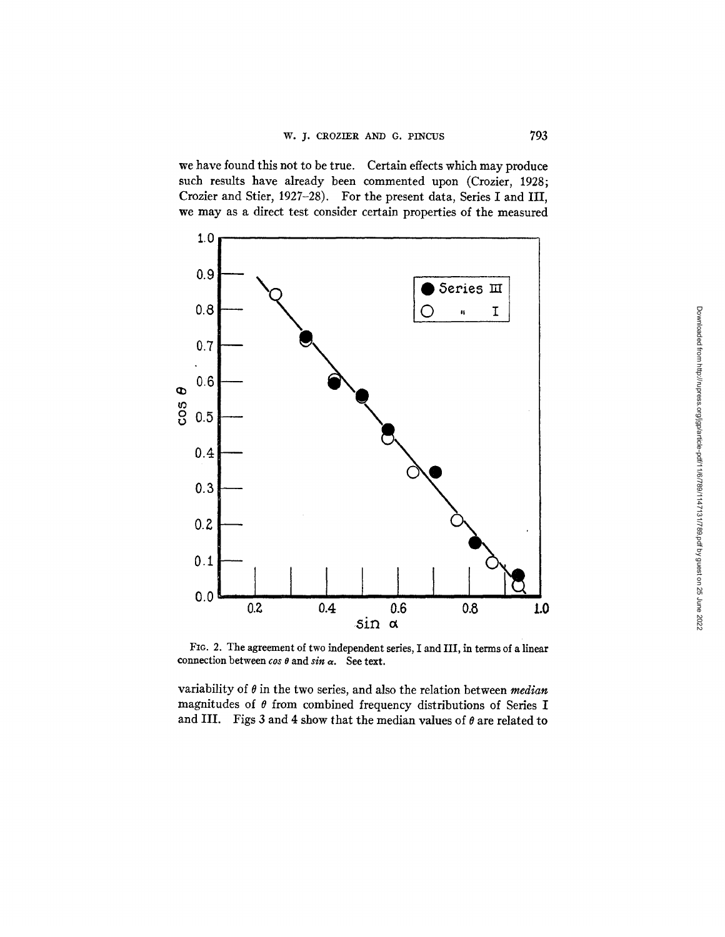we have found this not to be true. Certain effects which may produce such results have already been commented upon (Crozier, 1928; Crozier and Stier, 1927-28). For the present data, Series I and III, we may as a direct test consider certain properties of the measured



FIG. 2. The agreement of two independent series, I and III, in terms of a linear connection between *cos o* and *sin* a. See text.

variability of 0 in the two series, and also the relation between *median*  magnitudes of  $\theta$  from combined frequency distributions of Series I and III. Figs 3 and 4 show that the median values of  $\theta$  are related to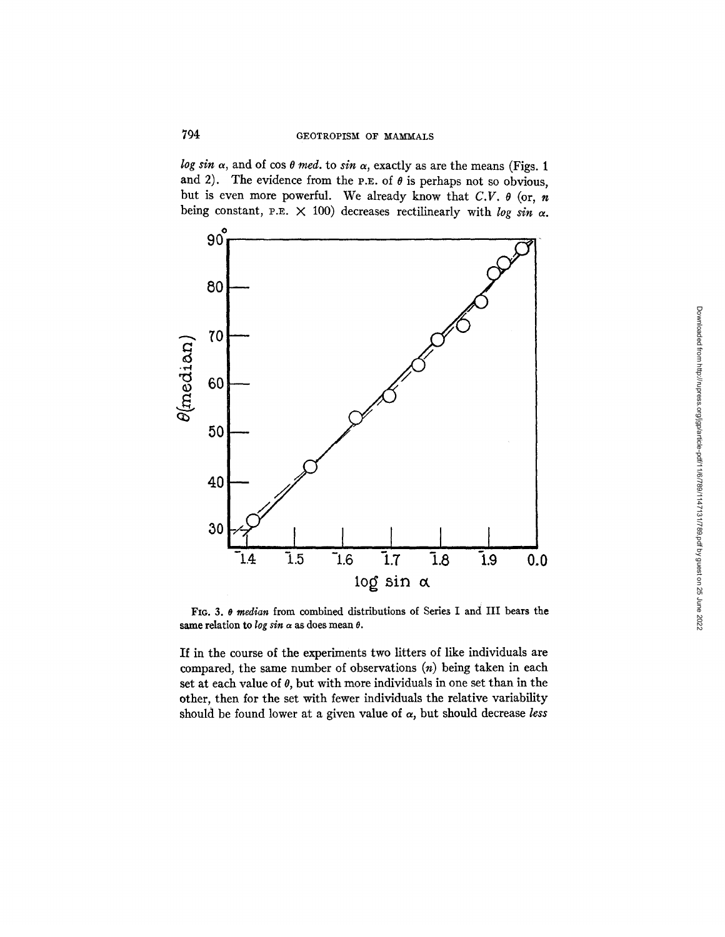*log sin*  $\alpha$ , and of cos  $\theta$  *med.* to *sin*  $\alpha$ , exactly as are the means (Figs. 1) and 2). The evidence from the P.E. of  $\theta$  is perhaps not so obvious, but is even more powerful. We already know that *C.V. 0* (or, n being constant, P.E.  $\times$  100) decreases rectilinearly with *log sin*  $\alpha$ .



FIG. 3. 0 *median* from combined distributions of Series I and III bears the same relation to  $\log \sin \alpha$  as does mean  $\theta$ .

If in the course of the experiments two litters of like individuals are compared, the same number of observations  $(n)$  being taken in each set at each value of  $\theta$ , but with more individuals in one set than in the other, then for the set with fewer individuals the relative variability should be found lower at a given value of  $\alpha$ , but should decrease *less*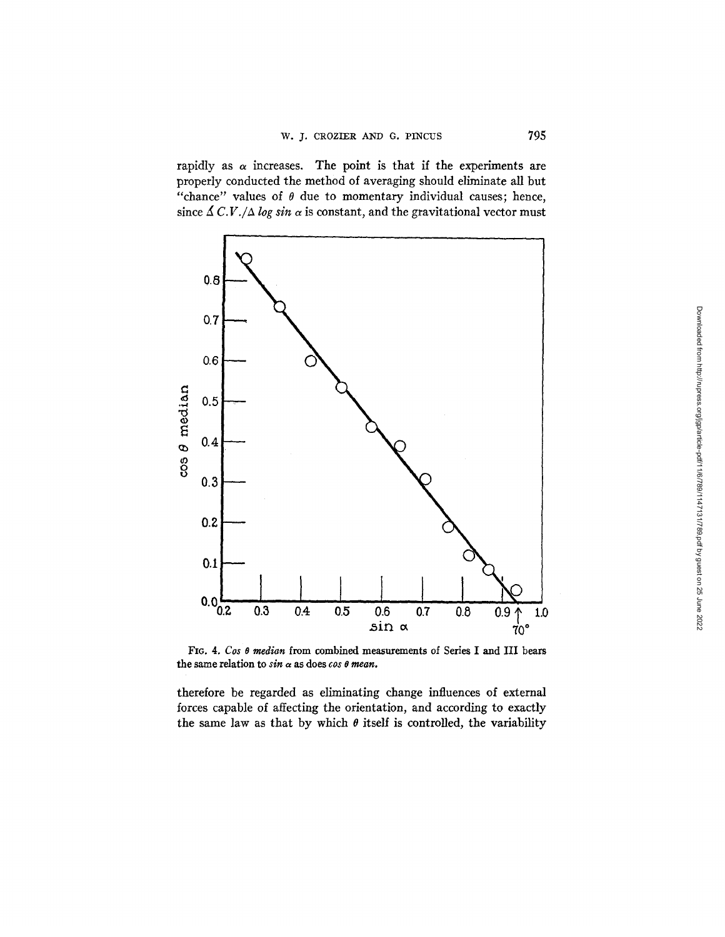rapidly as  $\alpha$  increases. The point is that if the experiments are properly conducted the method of averaging should eliminate all but "chance" values of  $\theta$  due to momentary individual causes; hence, since  $\Delta C.V./\Delta log sin \alpha$  is constant, and the gravitational vector must



FIG. 4. *Cos 0 median* from combined measurements of Series I and III bears the same relation to  $sin \alpha$  as does  $cos \theta$  mean.

therefore be regarded as eliminating change influences of external forces capable of affecting the orientation, and according to exactly the same law as that by which  $\theta$  itself is controlled, the variability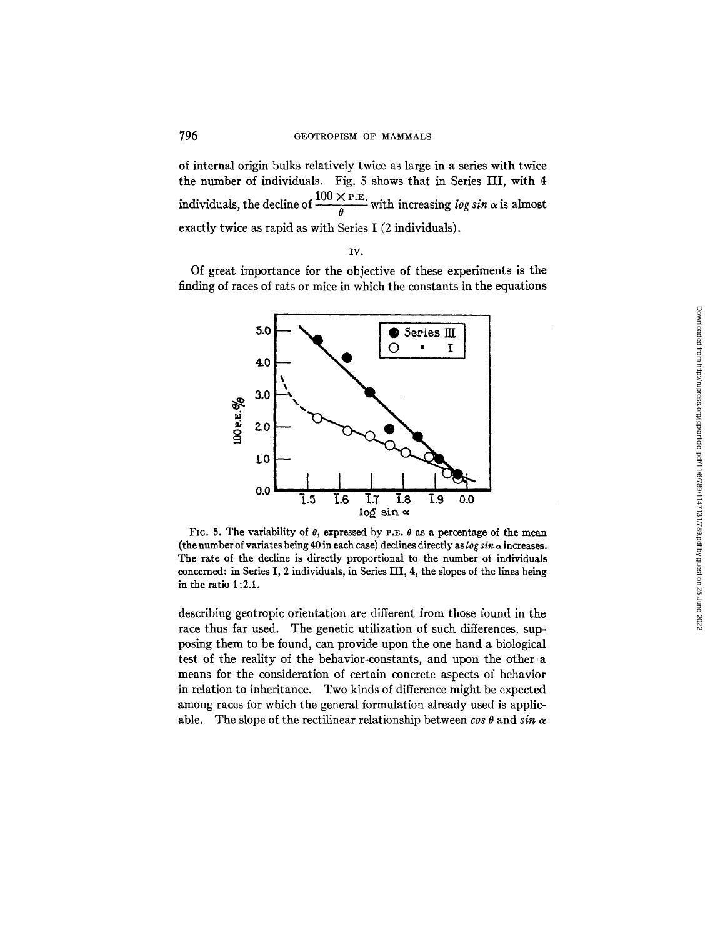of internal origin bulks relatively twice as large in a series with twice the number of individuals. Fig. 5 shows that in Series III, with 4 **individuals, the decline of**  $\frac{100 \times P.E.}{\theta}$  **with increasing** *log sin* $\alpha$  **is almost** exactly twice as rapid as with Series I (2 individuals).

IV.

Of great importance for the objective of these experiments is the finding of races of rats or mice in which the constants in the equations



FIG. 5. The variability of  $\theta$ , expressed by P.E.  $\theta$  as a percentage of the mean (the number of variates being 40 in each case) declines directly as  $\log \sin \alpha$  increases. The rate of the decline is directly proportional to the number of individuals concerned: in Series I, 2 individuals, in Series Ill, 4, the slopes of the lines being in the ratio 1:2.1.

describing geotropic orientation are different from those found in the race thus far used. The genetic utilization of such differences, supposing them to be found, can provide upon the one hand a biological test of the reality of the behavior-constants, and upon the other a means for the consideration of certain concrete aspects of behavior in relation to inheritance. Two kinds of difference might be expected among races for which the general formulation already used is applicable. The slope of the rectilinear relationship between  $\cos \theta$  and  $\sin \alpha$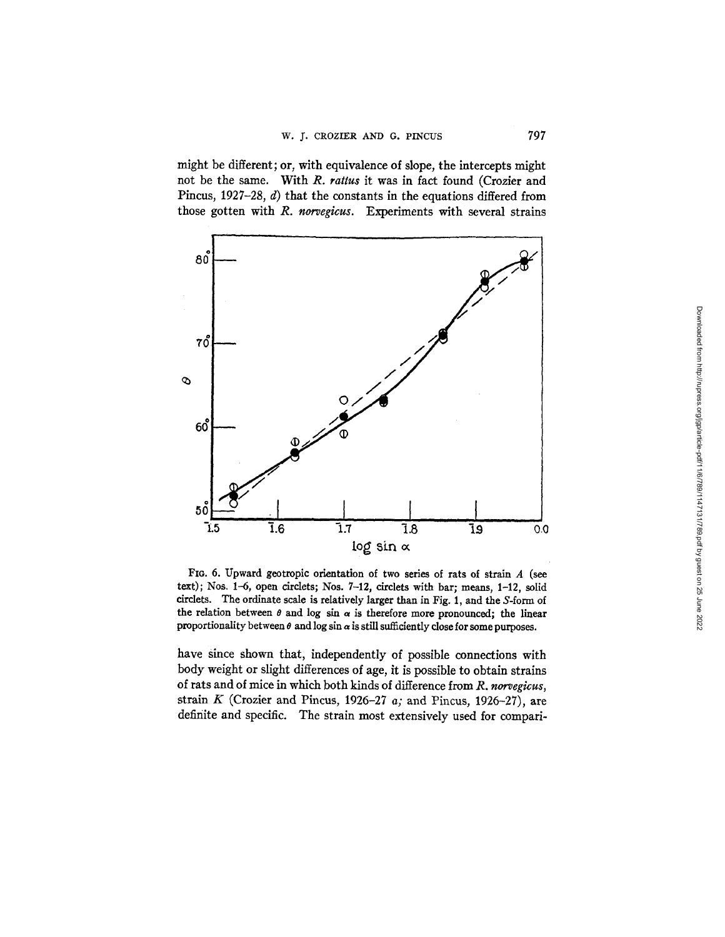might be different; or, with equivalence of slope, the intercepts might not be the same. With *R. rattus* it was in fact found (Crozier and Pincus, 1927-28, d) that the constants in the equations differed from those gotten with *R. norvegicus.* Experiments with several strains



FIo. 6. Upward geotropic orientation of two series of rats of strain A (see text); Nos. 1-6, open circlets; Nos. 7-12, circlets with bar; means, 1-12, solid circlets. The ordinate scale is relatively larger than in Fig. 1, and the S-form of the relation between  $\theta$  and log sin  $\alpha$  is therefore more pronounced; the linear proportionality between  $\theta$  and log sin  $\alpha$  is still sufficiently close for some purposes.

have since shown that, independently of possible connections with body weight or slight differences of age, it is possible to obtain strains of rats and of mice in which both kinds of difference from *R. norvegicus,*  strain K (Crozier and Pincus, 1926-27 *a;* and Pincus, 1926-27), are definite and specific. The strain most extensively used for compari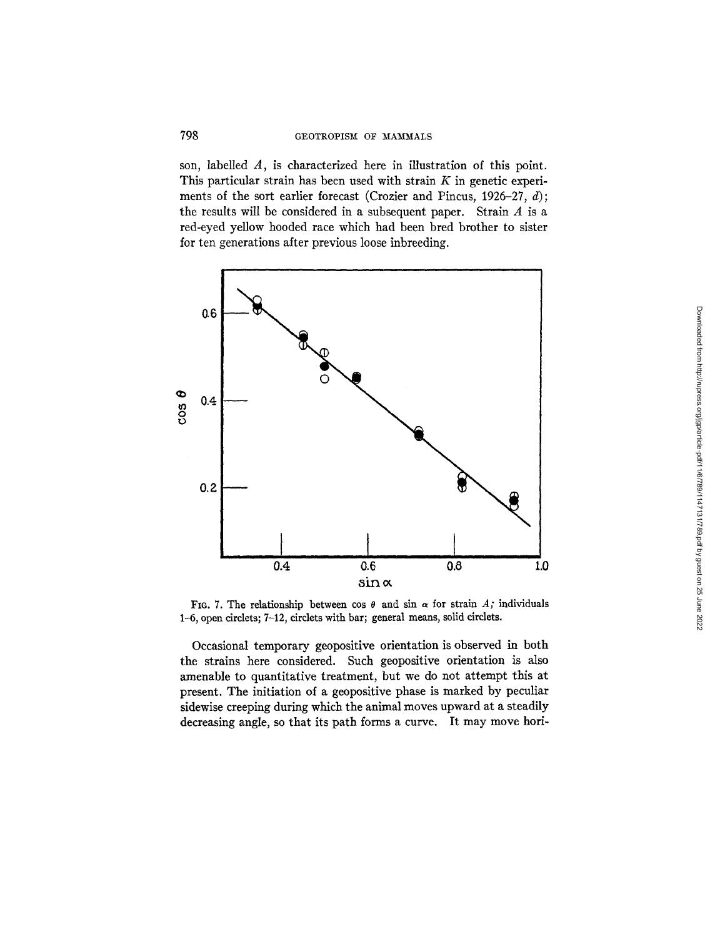son, labelled A, is characterized here in illustration of this point. This particular strain has been used with strain  $K$  in genetic experiments of the sort earlier forecast (Crozier and Pincus, 1926-27,  $d$ ); the results will be considered in a subsequent paper. Strain  $A$  is a red-eyed yellow hooded race which had been bred brother to sister for ten generations after previous loose inbreeding.



FIG. 7. The relationship between cos  $\theta$  and sin  $\alpha$  for strain A; individuals 1-6, open circlets; 7-12, circlets with bar; general means, solid circlets.

Occasional temporary geopositive orientation is observed in both the strains here considered. Such geopositive orientation is also amenable to quantitative treatment, but we do not attempt this at present. The initiation of a geopositive phase is marked by peculiar sidewise creeping during which the animal moves upward at a steadily decreasing angle, so that its path forms a curve. It may move hori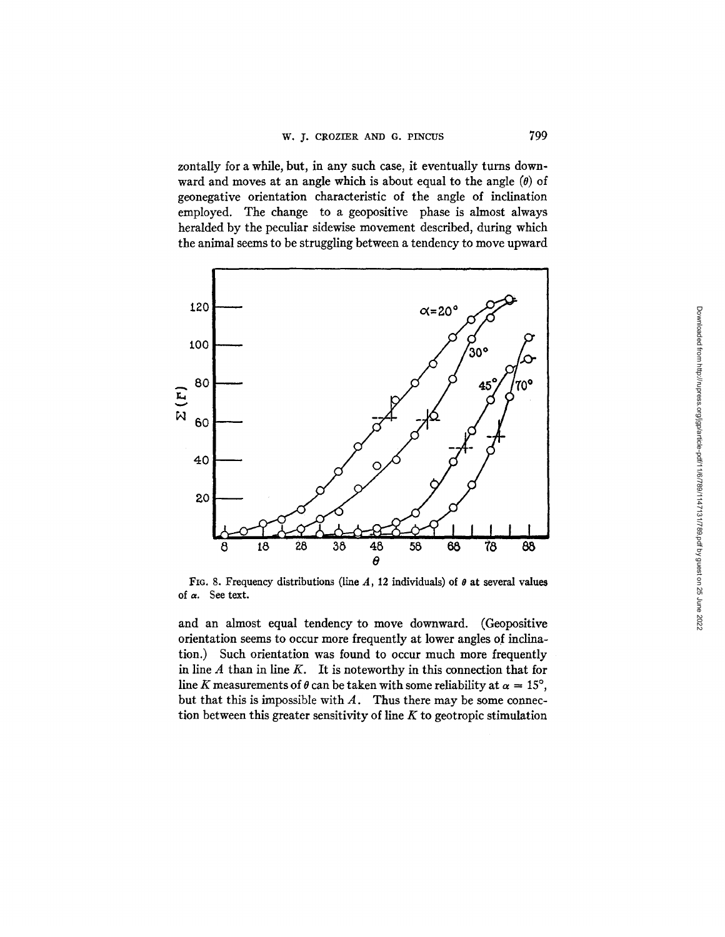zontally for a while, but, in any such case, it eventually turns downward and moves at an angle which is about equal to the angle  $(\theta)$  of geonegative orientation characteristic of the angle of inclination employed. The change to a geopositive phase is almost always heralded by the peculiar sidewise movement described, during which the animal seems to be struggling between a tendency to move upward



FIG. 8. Frequency distributions (line A, 12 individuals) of  $\theta$  at several values of a. See text.

and an almost equal tendency to move downward. (Geopositive orientation seems to occur more frequently at lower angles of inclination.) Such orientation was found to occur much more frequently in line  $A$  than in line  $K$ . It is noteworthy in this connection that for line K measurements of  $\theta$  can be taken with some reliability at  $\alpha = 15^{\circ}$ , but that this is impossible with  $A$ . Thus there may be some connection between this greater sensitivity of line  $K$  to geotropic stimulation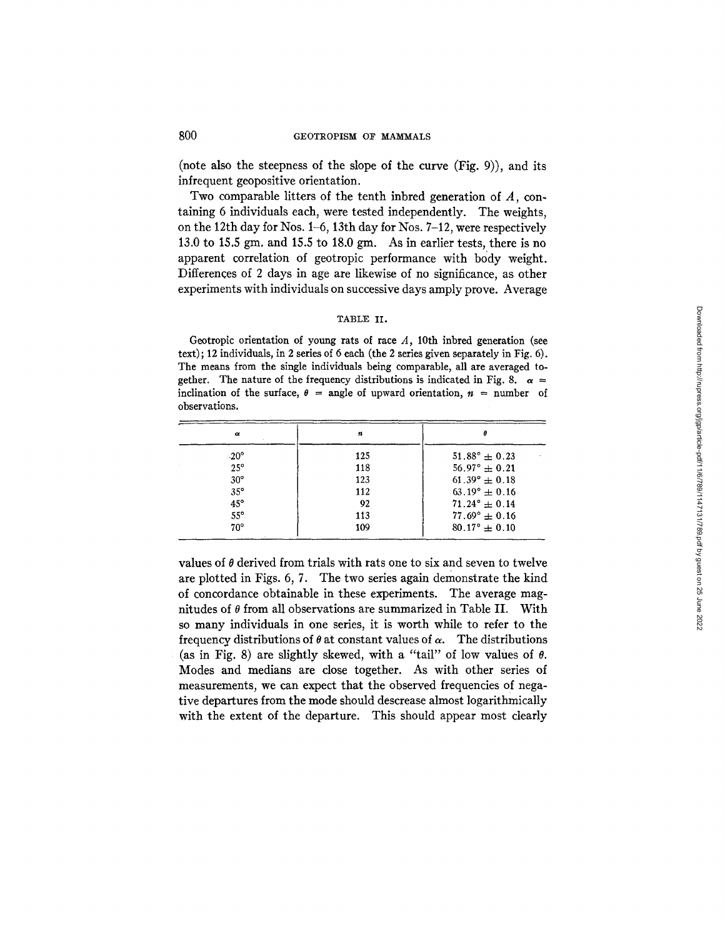(note also the steepness of the slope of the curve (Fig. 9)), and its infrequent geopositive orientation.

Two comparable litters of the tenth inbred generation of A, containing 6 individuals each, were tested independently. The weights, on the 12th day for Nos. 1-6, 13th day for Nos. 7-12, were respectively 13.0 to 15.5 gm. and 15.5 to 18.0 gm. As in earlier tests, there is no apparent correlation of geotropic performance with body weight. Differences of 2 days in age are likewise of no significance, as other experiments with individuals on successive days amply prove. Average

## TABLE II.

Geotropic orientation of young rats of race  $A$ , 10th inbred generation (see text); 12 individuals, in 2 series of 6 each (the 2 series given separately in Fig. 6). The means from the single individuals being comparable, all are averaged together. The nature of the frequency distributions is indicated in Fig. 8.  $\alpha =$ inclination of the surface,  $\theta$  = angle of upward orientation,  $n$  = number of observations.

| $\boldsymbol{\alpha}$ | 11  |                          |
|-----------------------|-----|--------------------------|
| $-20^\circ$           | 125 | $51.88^{\circ} \pm 0.23$ |
| $25^\circ$            | 118 | $56.97^{\circ} \pm 0.21$ |
| $30^\circ$            | 123 | $61.39^{\circ} \pm 0.18$ |
| $35^\circ$            | 112 | $63.19^{\circ} \pm 0.16$ |
| $45^{\circ}$          | 92  | $71.24^{\circ} \pm 0.14$ |
| $55^\circ$            | 113 | $77.69^{\circ} \pm 0.16$ |
| $70^{\circ}$          | 109 | $80.17^{\circ} \pm 0.10$ |

values of  $\theta$  derived from trials with rats one to six and seven to twelve are plotted in Figs. 6, 7. The two series again demonstrate the kind of concordance obtainable in these experiments. The average magnitudes of  $\theta$  from all observations are summarized in Table II. With so many individuals in one series, it is worth while to refer to the frequency distributions of  $\theta$  at constant values of  $\alpha$ . The distributions (as in Fig. 8) are slightly skewed, with a "tail" of low values of  $\theta$ . Modes and medians are close together. As with other series of measurements, we can expect that the observed frequencies of negative departures from the mode should descrease almost logarithmically with the extent of the departure. This should appear most clearly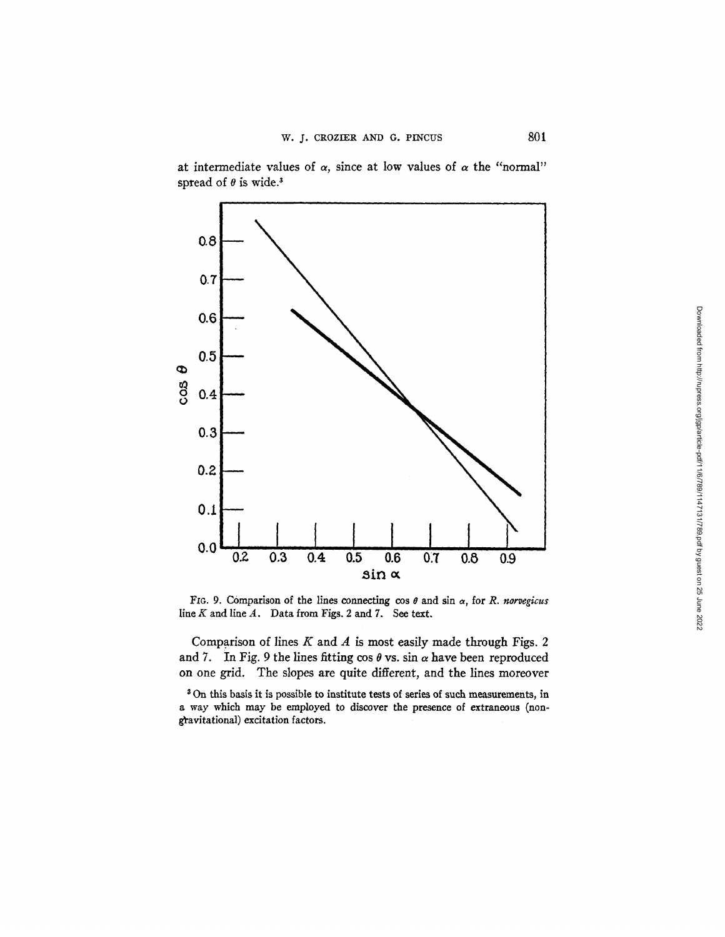at intermediate values of  $\alpha$ , since at low values of  $\alpha$  the "normal" spread of  $\theta$  is wide.<sup>3</sup>



FIG. 9. Comparison of the lines connecting  $\cos \theta$  and  $\sin \alpha$ , for *R. norvegicus* line  $K$  and line  $A$ . Data from Figs. 2 and 7. See text.

Comparison of lines  $K$  and  $A$  is most easily made through Figs. 2 and 7. In Fig. 9 the lines fitting cos  $\theta$  vs. sin  $\alpha$  have been reproduced on one grid. The slopes are quite different, and the lines moreover

On this basis it is possible to institute tests of series of such measurements, in a way which may be employed to discover the presence of extraneous (non gravitational) excitation factors.